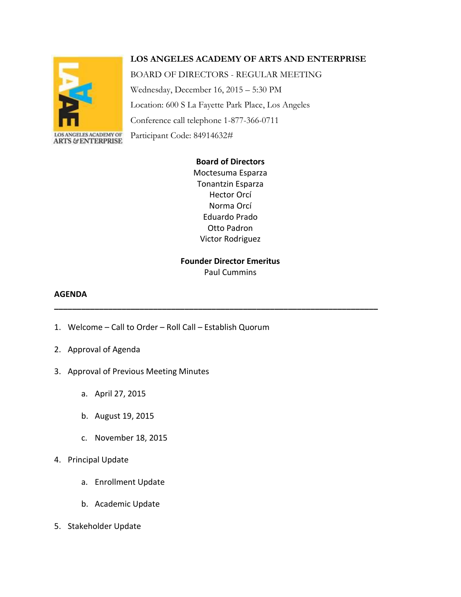# **LOS ANGELES ACADEMY OF ARTS AND ENTERPRISE**



Wednesday, December 16, 2015 – 5:30 PM Location: 600 S La Fayette Park Place, Los Angeles Conference call telephone 1-877-366-0711 Participant Code: 84914632#

BOARD OF DIRECTORS - REGULAR MEETING

# **Board of Directors**

Moctesuma Esparza Tonantzin Esparza Hector Orcí Norma Orcí Eduardo Prado Otto Padron Victor Rodriguez

### **Founder Director Emeritus** Paul Cummins

**\_\_\_\_\_\_\_\_\_\_\_\_\_\_\_\_\_\_\_\_\_\_\_\_\_\_\_\_\_\_\_\_\_\_\_\_\_\_\_\_\_\_\_\_\_\_\_\_\_\_\_\_\_\_\_\_\_\_\_\_\_\_\_\_\_\_\_\_\_\_\_\_**

## **AGENDA**

- 1. Welcome Call to Order Roll Call Establish Quorum
- 2. Approval of Agenda
- 3. Approval of Previous Meeting Minutes
	- a. April 27, 2015
	- b. August 19, 2015
	- c. November 18, 2015
- 4. Principal Update
	- a. Enrollment Update
	- b. Academic Update
- 5. Stakeholder Update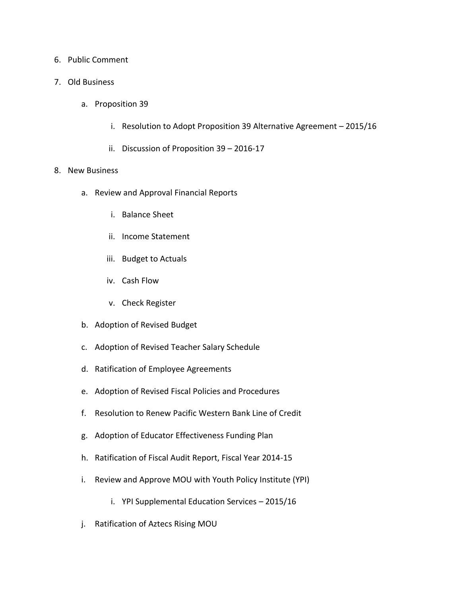# 6. Public Comment

- 7. Old Business
	- a. Proposition 39
		- i. Resolution to Adopt Proposition 39 Alternative Agreement 2015/16
		- ii. Discussion of Proposition 39 2016-17
- 8. New Business
	- a. Review and Approval Financial Reports
		- i. Balance Sheet
		- ii. Income Statement
		- iii. Budget to Actuals
		- iv. Cash Flow
		- v. Check Register
	- b. Adoption of Revised Budget
	- c. Adoption of Revised Teacher Salary Schedule
	- d. Ratification of Employee Agreements
	- e. Adoption of Revised Fiscal Policies and Procedures
	- f. Resolution to Renew Pacific Western Bank Line of Credit
	- g. Adoption of Educator Effectiveness Funding Plan
	- h. Ratification of Fiscal Audit Report, Fiscal Year 2014-15
	- i. Review and Approve MOU with Youth Policy Institute (YPI)
		- i. YPI Supplemental Education Services 2015/16
	- j. Ratification of Aztecs Rising MOU